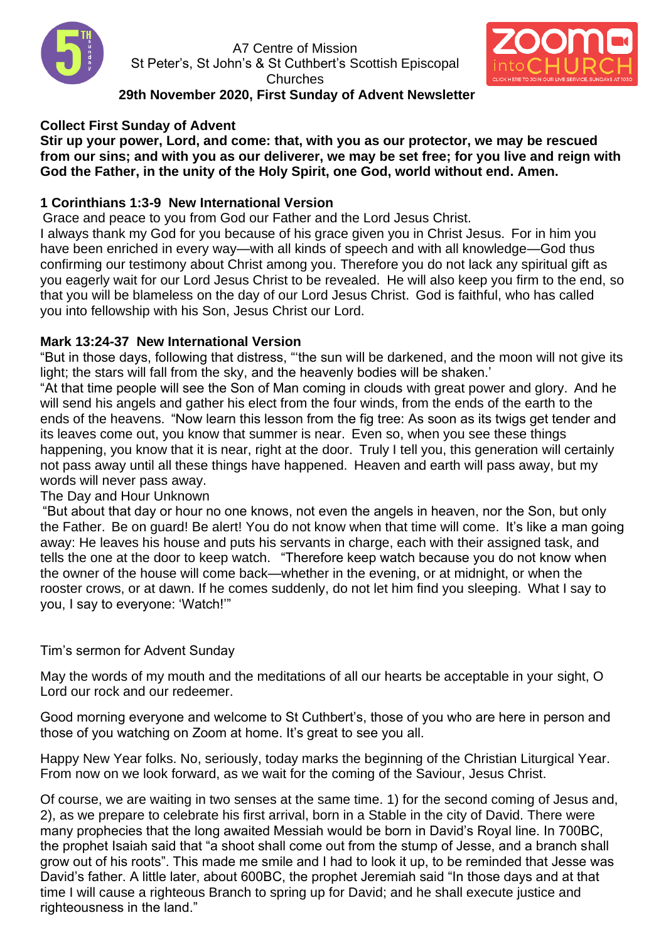

A7 Centre of Mission St Peter's, St John's & St Cuthbert's Scottish Episcopal **Churches** 



# **29th November 2020, First Sunday of Advent Newsletter**

# **Collect First Sunday of Advent**

**Stir up your power, Lord, and come: that, with you as our protector, we may be rescued from our sins; and with you as our deliverer, we may be set free; for you live and reign with God the Father, in the unity of the Holy Spirit, one God, world without end. Amen.**

# **1 Corinthians 1:3-9 New International Version**

Grace and peace to you from God our Father and the Lord Jesus Christ. I always thank my God for you because of his grace given you in Christ Jesus. For in him you have been enriched in every way—with all kinds of speech and with all knowledge—God thus confirming our testimony about Christ among you. Therefore you do not lack any spiritual gift as you eagerly wait for our Lord Jesus Christ to be revealed. He will also keep you firm to the end, so that you will be blameless on the day of our Lord Jesus Christ. God is faithful, who has called

you into fellowship with his Son, Jesus Christ our Lord.

## **Mark 13:24-37 New International Version**

"But in those days, following that distress, "'the sun will be darkened, and the moon will not give its light; the stars will fall from the sky, and the heavenly bodies will be shaken.'

"At that time people will see the Son of Man coming in clouds with great power and glory. And he will send his angels and gather his elect from the four winds, from the ends of the earth to the ends of the heavens. "Now learn this lesson from the fig tree: As soon as its twigs get tender and its leaves come out, you know that summer is near. Even so, when you see these things happening, you know that it is near, right at the door. Truly I tell you, this generation will certainly not pass away until all these things have happened. Heaven and earth will pass away, but my words will never pass away.

## The Day and Hour Unknown

"But about that day or hour no one knows, not even the angels in heaven, nor the Son, but only the Father. Be on guard! Be alert! You do not know when that time will come. It's like a man going away: He leaves his house and puts his servants in charge, each with their assigned task, and tells the one at the door to keep watch. "Therefore keep watch because you do not know when the owner of the house will come back—whether in the evening, or at midnight, or when the rooster crows, or at dawn. If he comes suddenly, do not let him find you sleeping. What I say to you, I say to everyone: 'Watch!'"

## Tim's sermon for Advent Sunday

May the words of my mouth and the meditations of all our hearts be acceptable in your sight, O Lord our rock and our redeemer.

Good morning everyone and welcome to St Cuthbert's, those of you who are here in person and those of you watching on Zoom at home. It's great to see you all.

Happy New Year folks. No, seriously, today marks the beginning of the Christian Liturgical Year. From now on we look forward, as we wait for the coming of the Saviour, Jesus Christ.

Of course, we are waiting in two senses at the same time. 1) for the second coming of Jesus and, 2), as we prepare to celebrate his first arrival, born in a Stable in the city of David. There were many prophecies that the long awaited Messiah would be born in David's Royal line. In 700BC, the prophet Isaiah said that "a shoot shall come out from the stump of Jesse, and a branch shall grow out of his roots". This made me smile and I had to look it up, to be reminded that Jesse was David's father. A little later, about 600BC, the prophet Jeremiah said "In those days and at that time I will cause a righteous Branch to spring up for David; and he shall execute justice and righteousness in the land."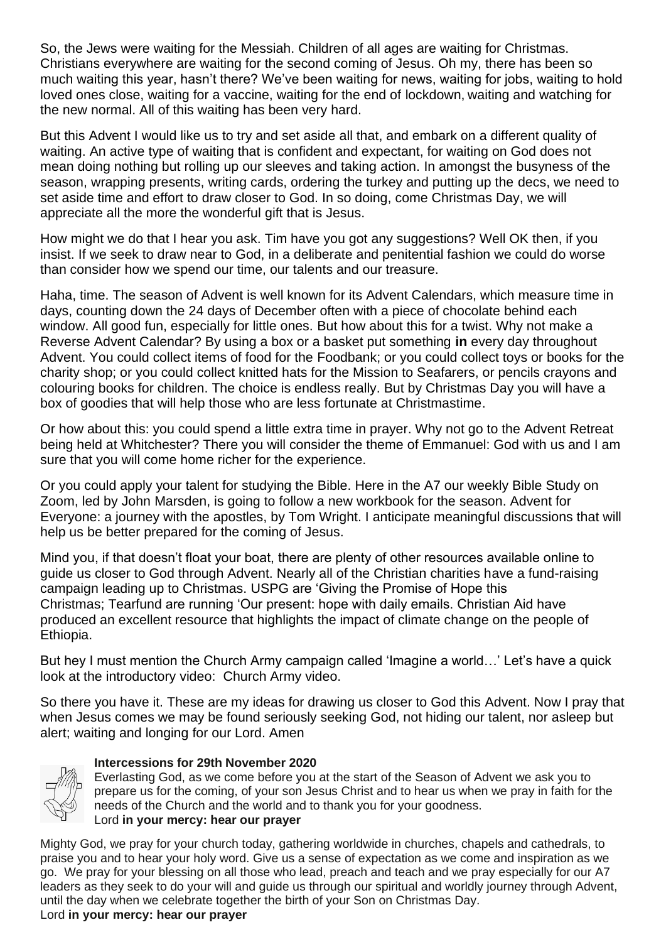So, the Jews were waiting for the Messiah. Children of all ages are waiting for Christmas. Christians everywhere are waiting for the second coming of Jesus. Oh my, there has been so much waiting this year, hasn't there? We've been waiting for news, waiting for jobs, waiting to hold loved ones close, waiting for a vaccine, waiting for the end of lockdown, waiting and watching for the new normal. All of this waiting has been very hard.

But this Advent I would like us to try and set aside all that, and embark on a different quality of waiting. An active type of waiting that is confident and expectant, for waiting on God does not mean doing nothing but rolling up our sleeves and taking action. In amongst the busyness of the season, wrapping presents, writing cards, ordering the turkey and putting up the decs, we need to set aside time and effort to draw closer to God. In so doing, come Christmas Day, we will appreciate all the more the wonderful gift that is Jesus.

How might we do that I hear you ask. Tim have you got any suggestions? Well OK then, if you insist. If we seek to draw near to God, in a deliberate and penitential fashion we could do worse than consider how we spend our time, our talents and our treasure.

Haha, time. The season of Advent is well known for its Advent Calendars, which measure time in days, counting down the 24 days of December often with a piece of chocolate behind each window. All good fun, especially for little ones. But how about this for a twist. Why not make a Reverse Advent Calendar? By using a box or a basket put something **in** every day throughout Advent. You could collect items of food for the Foodbank; or you could collect toys or books for the charity shop; or you could collect knitted hats for the Mission to Seafarers, or pencils crayons and colouring books for children. The choice is endless really. But by Christmas Day you will have a box of goodies that will help those who are less fortunate at Christmastime.

Or how about this: you could spend a little extra time in prayer. Why not go to the Advent Retreat being held at Whitchester? There you will consider the theme of Emmanuel: God with us and I am sure that you will come home richer for the experience.

Or you could apply your talent for studying the Bible. Here in the A7 our weekly Bible Study on Zoom, led by John Marsden, is going to follow a new workbook for the season. Advent for Everyone: a journey with the apostles, by Tom Wright. I anticipate meaningful discussions that will help us be better prepared for the coming of Jesus.

Mind you, if that doesn't float your boat, there are plenty of other resources available online to guide us closer to God through Advent. Nearly all of the Christian charities have a fund-raising campaign leading up to Christmas. USPG are 'Giving the Promise of Hope this Christmas; Tearfund are running 'Our present: hope with daily emails. Christian Aid have produced an excellent resource that highlights the impact of climate change on the people of Ethiopia.

But hey I must mention the Church Army campaign called 'Imagine a world…' Let's have a quick look at the introductory video: Church Army video.

So there you have it. These are my ideas for drawing us closer to God this Advent. Now I pray that when Jesus comes we may be found seriously seeking God, not hiding our talent, nor asleep but alert; waiting and longing for our Lord. Amen



## **Intercessions for 29th November 2020**

Everlasting God, as we come before you at the start of the Season of Advent we ask you to prepare us for the coming, of your son Jesus Christ and to hear us when we pray in faith for the needs of the Church and the world and to thank you for your goodness. Lord **in your mercy: hear our prayer**

Mighty God, we pray for your church today, gathering worldwide in churches, chapels and cathedrals, to praise you and to hear your holy word. Give us a sense of expectation as we come and inspiration as we go. We pray for your blessing on all those who lead, preach and teach and we pray especially for our A7 leaders as they seek to do your will and guide us through our spiritual and worldly journey through Advent, until the day when we celebrate together the birth of your Son on Christmas Day. Lord **in your mercy: hear our prayer**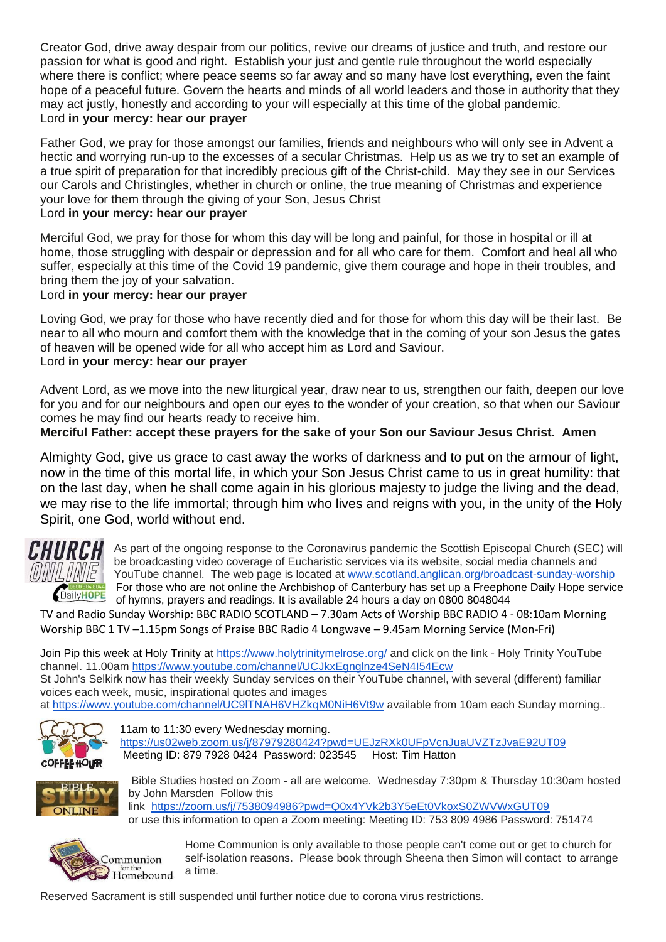Creator God, drive away despair from our politics, revive our dreams of justice and truth, and restore our passion for what is good and right. Establish your just and gentle rule throughout the world especially where there is conflict; where peace seems so far away and so many have lost everything, even the faint hope of a peaceful future. Govern the hearts and minds of all world leaders and those in authority that they may act justly, honestly and according to your will especially at this time of the global pandemic. Lord **in your mercy: hear our prayer**

Father God, we pray for those amongst our families, friends and neighbours who will only see in Advent a hectic and worrying run-up to the excesses of a secular Christmas. Help us as we try to set an example of a true spirit of preparation for that incredibly precious gift of the Christ-child. May they see in our Services our Carols and Christingles, whether in church or online, the true meaning of Christmas and experience your love for them through the giving of your Son, Jesus Christ

### Lord **in your mercy: hear our prayer**

Merciful God, we pray for those for whom this day will be long and painful, for those in hospital or ill at home, those struggling with despair or depression and for all who care for them. Comfort and heal all who suffer, especially at this time of the Covid 19 pandemic, give them courage and hope in their troubles, and bring them the joy of your salvation.

### Lord **in your mercy: hear our prayer**

Loving God, we pray for those who have recently died and for those for whom this day will be their last. Be near to all who mourn and comfort them with the knowledge that in the coming of your son Jesus the gates of heaven will be opened wide for all who accept him as Lord and Saviour. Lord **in your mercy: hear our prayer**

Advent Lord, as we move into the new liturgical year, draw near to us, strengthen our faith, deepen our love for you and for our neighbours and open our eyes to the wonder of your creation, so that when our Saviour comes he may find our hearts ready to receive him.

**Merciful Father: accept these prayers for the sake of your Son our Saviour Jesus Christ. Amen**

Almighty God, give us grace to cast away the works of darkness and to put on the armour of light, now in the time of this mortal life, in which your Son Jesus Christ came to us in great humility: that on the last day, when he shall come again in his glorious majesty to judge the living and the dead, we may rise to the life immortal; through him who lives and reigns with you, in the unity of the Holy Spirit, one God, world without end.



As part of the ongoing response to the Coronavirus pandemic the Scottish Episcopal Church (SEC) will be broadcasting video coverage of Eucharistic services via its website, social media channels and YouTube channel. The web page is located at [www.scotland.anglican.org/broadcast-sunday-worship](http://www.scotland.anglican.org/broadcast-sunday-worship) For those who are not online the Archbishop of Canterbury has set up a Freephone Daily Hope service **ChailyHOPE** For tripse write are not original the *chainboxical* of hymns, prayers and readings. It is available 24 hours a day on 0800 8048044

TV and Radio Sunday Worship: BBC RADIO SCOTLAND – 7.30am Acts of Worship BBC RADIO 4 - 08:10am Morning Worship BBC 1 TV –1.15pm Songs of Praise BBC Radio 4 Longwave – 9.45am Morning Service (Mon-Fri)

Join Pip this week at Holy Trinity at<https://www.holytrinitymelrose.org/> and click on the link - Holy Trinity YouTube channel. 11.00am<https://www.youtube.com/channel/UCJkxEgnglnze4SeN4I54Ecw> St John's Selkirk now has their weekly Sunday services on their YouTube channel, with several (different) familiar voices each week, music, inspirational quotes and images

at https://www.youtube.com/channel/UC9ITNAH6VHZkqM0NiH6Vt9w available from 10am each Sunday morning..



11am to 11:30 every Wednesday morning. <https://us02web.zoom.us/j/87979280424?pwd=UEJzRXk0UFpVcnJuaUVZTzJvaE92UT09> Meeting ID: 879 7928 0424 Password: 023545 Host: Tim Hatton



Bible Studies hosted on Zoom - all are welcome. Wednesday 7:30pm & Thursday 10:30am hosted by John Marsden Follow this link <https://zoom.us/j/7538094986?pwd=Q0x4YVk2b3Y5eEt0VkoxS0ZWVWxGUT09> or use this information to open a Zoom meeting: Meeting ID: 753 809 4986 Password: 751474



Home Communion is only available to those people can't come out or get to church for self-isolation reasons. Please book through Sheena then Simon will contact to arrange a time.

Reserved Sacrament is still suspended until further notice due to corona virus restrictions.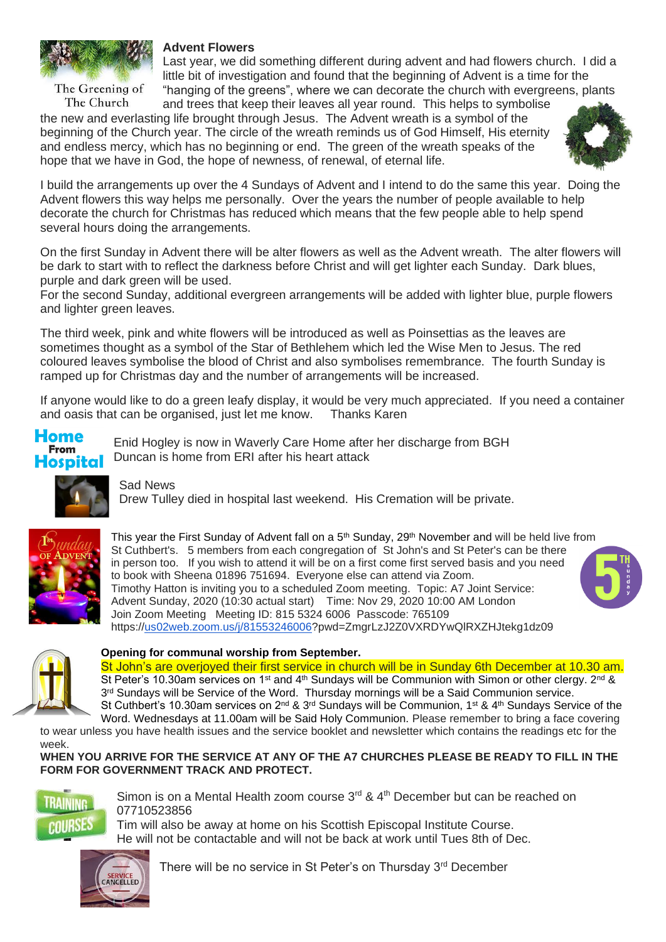

The Greening of The Church

### **Advent Flowers**

Last year, we did something different during advent and had flowers church. I did a little bit of investigation and found that the beginning of Advent is a time for the "hanging of the greens", where we can decorate the church with evergreens, plants

and trees that keep their leaves all year round. This helps to symbolise the new and everlasting life brought through Jesus. The Advent wreath is a symbol of the beginning of the Church year. The circle of the wreath reminds us of God Himself, His eternity and endless mercy, which has no beginning or end. The green of the wreath speaks of the hope that we have in God, the hope of newness, of renewal, of eternal life.



I build the arrangements up over the 4 Sundays of Advent and I intend to do the same this year. Doing the Advent flowers this way helps me personally. Over the years the number of people available to help decorate the church for Christmas has reduced which means that the few people able to help spend several hours doing the arrangements.

On the first Sunday in Advent there will be alter flowers as well as the Advent wreath. The alter flowers will be dark to start with to reflect the darkness before Christ and will get lighter each Sunday. Dark blues, purple and dark green will be used.

For the second Sunday, additional evergreen arrangements will be added with lighter blue, purple flowers and lighter green leaves.

The third week, pink and white flowers will be introduced as well as Poinsettias as the leaves are sometimes thought as a symbol of the Star of Bethlehem which led the Wise Men to Jesus. The red coloured leaves symbolise the blood of Christ and also symbolises remembrance. The fourth Sunday is ramped up for Christmas day and the number of arrangements will be increased.

If anyone would like to do a green leafy display, it would be very much appreciated. If you need a container and oasis that can be organised, just let me know. Thanks Karen

#### Home **From** Hospital

Enid Hogley is now in Waverly Care Home after her discharge from BGH Duncan is home from ERI after his heart attack



Sad News

Drew Tulley died in hospital last weekend. His Cremation will be private.



This year the First Sunday of Advent fall on a 5<sup>th</sup> Sunday, 29<sup>th</sup> November and will be held live from St Cuthbert's. 5 members from each congregation of St John's and St Peter's can be there in person too. If you wish to attend it will be on a first come first served basis and you need to book with Sheena 01896 751694. Everyone else can attend via Zoom. Timothy Hatton is inviting you to a scheduled Zoom meeting. Topic: A7 Joint Service: Advent Sunday, 2020 (10:30 actual start) Time: Nov 29, 2020 10:00 AM London Join Zoom Meeting Meeting ID: 815 5324 6006 Passcode: 765109 https:/[/us02web.zoom.us/j/81553246006?](http://us02web.zoom.us/j/81553246006)pwd=ZmgrLzJ2Z0VXRDYwQlRXZHJtekg1dz09



#### **Opening for communal worship from September[.](https://l.facebook.com/l.php?u=https%3A%2F%2Fwww.strava.com%2Factivities%2F4115144364%3Ffbclid%3DIwAR2dp0V7bZw56KZNe7vvvP6qvLImkA5BNccKKFT60WPFMxOmexhBDMqE1hk&h=AT06T4e_7h6ZApB1oGWjk7pLBQ-K3FrXkDzPu-3dIUW9Yq2uWgVHvA1iH9D2G0qHAEzsVf6iZSPLYjt6IIPAEnVxcjXeHb_PKNtCimTKWYec9eSyBG-fhPgCt_GQiLPKta1r&__tn__=H-R&c%5b0%5d=AT0geC5tx4HBtnuUp3gCeEzYdFpe7hKghWt3IPt71OMD54KpTLRZ2BoA0MuMeWwHlfudxO2cBtPJ9so98nMDTcbxTJGAgh-8HbIfpS2DmXnwskBFa3Rkq0KNMefG4EVpFLNqSFOwfcU5q9TBFeRBz7HaUNslyrmv_jq4-z_aqyrBursxAXDT8wGoXyLBHCyTB8npD5HEm393dr1yc9xU8_Tzaw)**

St John's are overjoyed their first service in church will be in Sunday 6th December at 10.30 am. St Peter's 10.30am services on 1<sup>st</sup> and 4<sup>th</sup> Sundays will be Communion with Simon or other clergy. 2<sup>nd</sup> & 3<sup>rd</sup> Sundays will be Service of the Word. Thursday mornings will be a Said Communion service. St Cuthbert's 10.30am services on 2<sup>nd</sup> & 3<sup>rd</sup> Sundays will be Communion, 1<sup>st</sup> & 4<sup>th</sup> Sundays Service of the Word. Wednesdays at 11.00am will be Said Holy Communion. Please remember to bring a face covering

to wear unless you have health issues and the service booklet and newsletter which contains the readings etc for the week.

**WHEN YOU ARRIVE FOR THE SERVICE AT ANY OF THE A7 CHURCHES PLEASE BE READY TO FILL IN THE FORM FOR GOVERNMENT TRACK AND PROTECT.** 



Simon is on a Mental Health zoom course  $3<sup>rd</sup>$  &  $4<sup>th</sup>$  December but can be reached on 07710523856

Tim will also be away at home on his Scottish Episcopal Institute Course. He will not be contactable and will not be back at work until Tues 8th of Dec.



There will be no service in St Peter's on Thursday 3<sup>rd</sup> December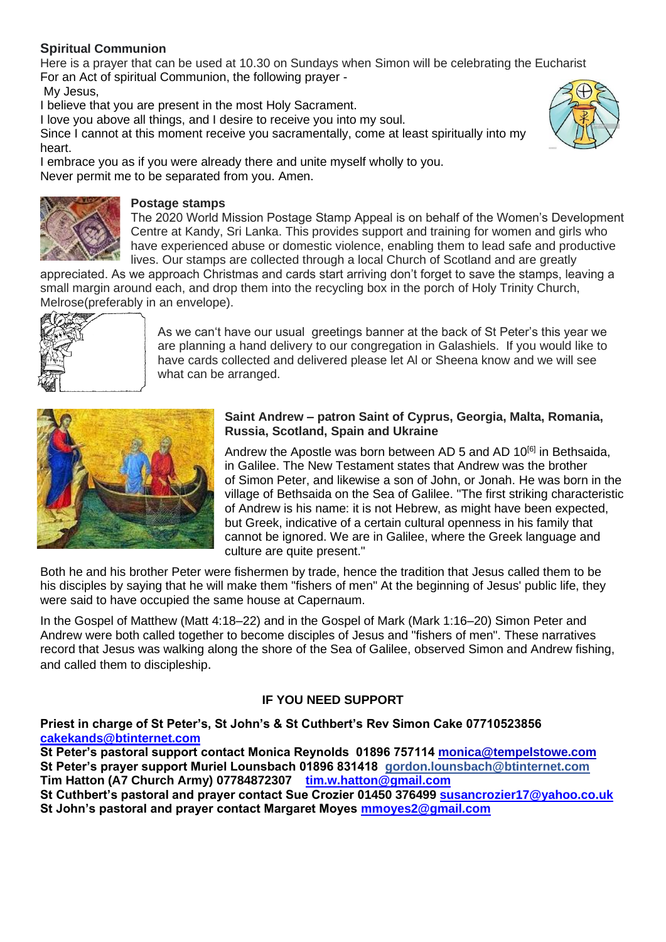## **Spiritual Communion**

Here is a prayer that can be used at 10.30 on Sundays when Simon will be celebrating the Eucharist For an Act of spiritual Communion, the following prayer -

My Jesus,

I believe that you are present in the most Holy Sacrament.

I love you above all things, and I desire to receive you into my soul.

Since I cannot at this moment receive you sacramentally, come at least spiritually into my heart.



I embrace you as if you were already there and unite myself wholly to you. Never permit me to be separated from you. Amen.



### **Postage stamps**

The 2020 World Mission Postage Stamp Appeal is on behalf of the Women's Development Centre at Kandy, Sri Lanka. This provides support and training for women and girls who have experienced abuse or domestic violence, enabling them to lead safe and productive lives. Our stamps are collected through a local Church of Scotland and are greatly

appreciated. As we approach Christmas and cards start arriving don't forget to save the stamps, leaving a small margin around each, and drop them into the recycling box in the porch of Holy Trinity Church, Melrose(preferably in an envelope).



As we can't have our usual greetings banner at the back of St Peter's this year we are planning a hand delivery to our congregation in Galashiels. If you would like to have cards collected and delivered please let Al or Sheena know and we will see what can be arranged.



#### **Saint Andrew – patron Saint of Cyprus, Georgia, Malta, Romania, Russia, Scotland, Spain and Ukraine**

Andrew the Apostle was born between AD 5 and AD  $10^{[6]}$  $10^{[6]}$  $10^{[6]}$  in [Bethsaida,](https://en.wikipedia.org/wiki/Bethsaida) in [Galilee.](https://en.wikipedia.org/wiki/Galilee) The [New Testament](https://en.wikipedia.org/wiki/New_Testament) states that Andrew was the brother of [Simon Peter,](https://en.wikipedia.org/wiki/Saint_Peter) and likewise a son of John, or Jonah. He was born in the village of [Bethsaida](https://en.wikipedia.org/wiki/Bethsaida) on the [Sea of Galilee.](https://en.wikipedia.org/wiki/Sea_of_Galilee) "The first striking characteristic of Andrew is his name: it is not Hebrew, as might have been expected, but Greek, indicative of a certain cultural openness in his family that cannot be ignored. We are in Galilee, where the Greek language and culture are quite present."

Both he and his brother Peter were fishermen by trade, hence the tradition that [Jesus](https://en.wikipedia.org/wiki/Jesus) called them to be his [disciples](https://en.wikipedia.org/wiki/Disciple_(Christianity)) by saying that he will make them ["fishers of men"](https://en.wikipedia.org/wiki/Apostle_(Christian)#Their_apostolate_as_%22Fishers_of_Men%22) At the beginning of Jesus' public life, they were said to have occupied the same house at [Capernaum.](https://en.wikipedia.org/wiki/Capernaum)

In the [Gospel of Matthew](https://en.wikipedia.org/wiki/Gospel_of_Matthew) [\(Matt 4:18–22\)](https://www.biblica.com/bible/?osis=niv:Matthew%204:18%E2%80%9322) and in the [Gospel of Mark](https://en.wikipedia.org/wiki/Gospel_of_Mark) [\(Mark 1:16–20\)](https://www.biblica.com/bible/?osis=niv:Mark%201:16%E2%80%9320) Simon Peter and Andrew were both called together to become disciples of Jesus and "fishers of men". These narratives record that Jesus was walking along the shore of the Sea of Galilee, observed Simon and Andrew fishing, and called them to discipleship.

## **IF YOU NEED SUPPORT**

**Priest in charge of St Peter's, St John's & St Cuthbert's Rev Simon Cake 07710523856 [cakekands@btinternet.com](mailto:cakekands@btinternet.com)**

**St Peter's pastoral support contact Monica Reynolds 01896 757114 [monica@tempelstowe.com](mailto:monica@tempelstowe.com) St Peter's prayer support Muriel Lounsbach 01896 831418 gordon.lounsbach@btinternet.com Tim Hatton (A7 Church Army) 07784872307 [tim.w.hatton@gmail.com](mailto:tim.w.hutton@gmail.com)**

**St Cuthbert's pastoral and prayer contact Sue Crozier 01450 376499 [susancrozier17@yahoo.co.uk](mailto:susancrozier17@yahoo.co.uk) St John's pastoral and prayer contact Margaret Moyes [mmoyes2@gmail.com](mailto:mmoyes2@gmail.com)**